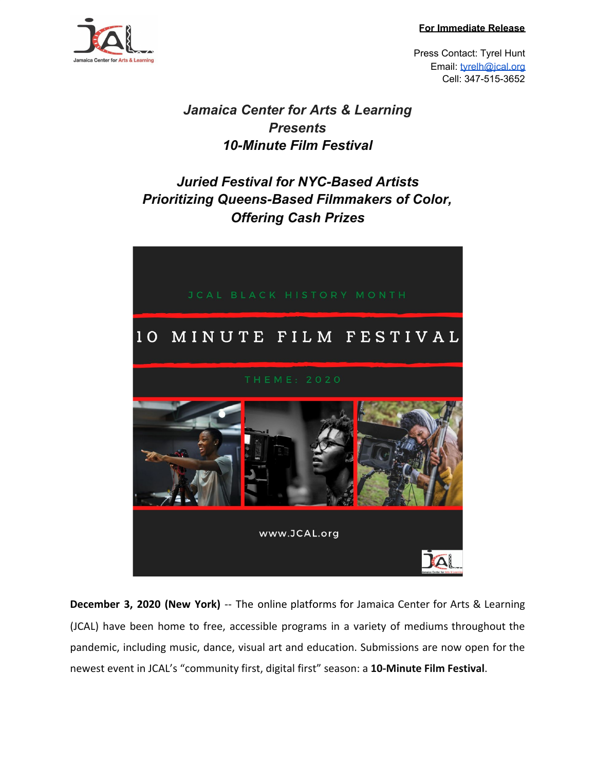**For Immediate Release**



Press Contact: Tyrel Hunt Email: [tyrelh@jcal.org](mailto:tyrelh@jcal.org) Cell: 347-515-3652

## *Jamaica Center for Arts & Learning Presents 10-Minute Film Festival*

# *Juried Festival for NYC-Based Artists Prioritizing Queens-Based Filmmakers of Color, Offering Cash Prizes*



**December 3, 2020 (New York)** -- The online platforms for Jamaica Center for Arts & Learning (JCAL) have been home to free, accessible programs in a variety of mediums throughout the pandemic, including music, dance, visual art and education. Submissions are now open for the newest event in JCAL's "community first, digital first" season: a **10-Minute Film Festival**.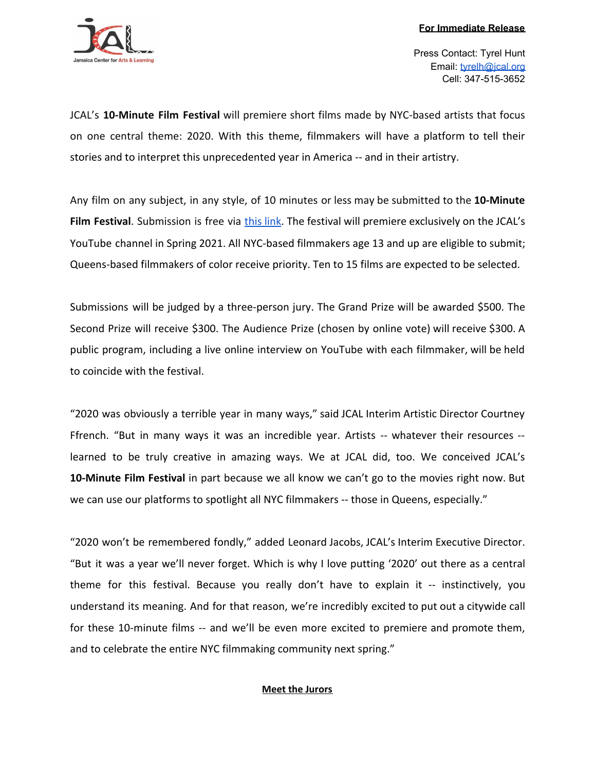

Press Contact: Tyrel Hunt Email: [tyrelh@jcal.org](mailto:tyrelh@jcal.org) Cell: 347-515-3652

JCAL's **10-Minute Film Festival** will premiere short films made by NYC-based artists that focus on one central theme: 2020. With this theme, filmmakers will have a platform to tell their stories and to interpret this unprecedented year in America -- and in their artistry.

Any film on any subject, in any style, of 10 minutes or less may be submitted to the **10-Minute Film Festival**. Submission is free via [this](https://www.jcal.org/10-minute-film-festival) link. The festival will premiere exclusively on the JCAL's YouTube channel in Spring 2021. All NYC-based filmmakers age 13 and up are eligible to submit; Queens-based filmmakers of color receive priority. Ten to 15 films are expected to be selected.

Submissions will be judged by a three-person jury. The Grand Prize will be awarded \$500. The Second Prize will receive \$300. The Audience Prize (chosen by online vote) will receive \$300. A public program, including a live online interview on YouTube with each filmmaker, will be held to coincide with the festival.

"2020 was obviously a terrible year in many ways," said JCAL Interim Artistic Director Courtney Ffrench. "But in many ways it was an incredible year. Artists -- whatever their resources - learned to be truly creative in amazing ways. We at JCAL did, too. We conceived JCAL's **10-Minute Film Festival** in part because we all know we can't go to the movies right now. But we can use our platforms to spotlight all NYC filmmakers -- those in Queens, especially."

"2020 won't be remembered fondly," added Leonard Jacobs, JCAL's Interim Executive Director. "But it was a year we'll never forget. Which is why I love putting '2020' out there as a central theme for this festival. Because you really don't have to explain it -- instinctively, you understand its meaning. And for that reason, we're incredibly excited to put out a citywide call for these 10-minute films -- and we'll be even more excited to premiere and promote them, and to celebrate the entire NYC filmmaking community next spring."

## **Meet the Jurors**